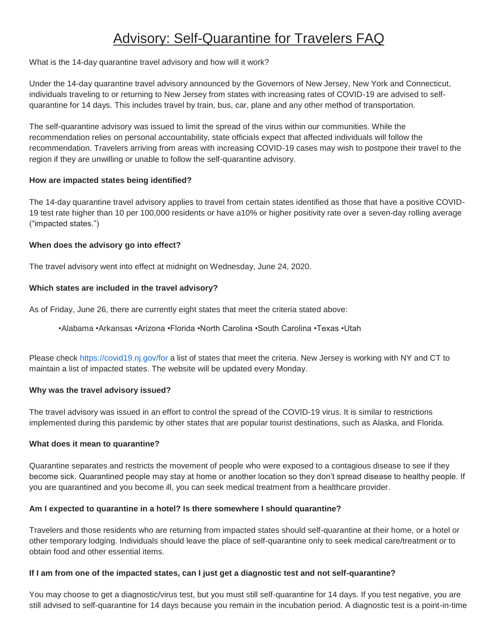# Advisory: Self-Quarantine for Travelers FAQ

What is the 14-day quarantine travel advisory and how will it work?

Under the 14-day quarantine travel advisory announced by the Governors of New Jersey, New York and Connecticut, individuals traveling to or returning to New Jersey from states with increasing rates of COVID-19 are advised to selfquarantine for 14 days. This includes travel by train, bus, car, plane and any other method of transportation.

The self-quarantine advisory was issued to limit the spread of the virus within our communities. While the recommendation relies on personal accountability, state officials expect that affected individuals will follow the recommendation. Travelers arriving from areas with increasing COVID-19 cases may wish to postpone their travel to the region if they are unwilling or unable to follow the self-quarantine advisory.

# **How are impacted states being identified?**

The 14-day quarantine travel advisory applies to travel from certain states identified as those that have a positive COVID-19 test rate higher than 10 per 100,000 residents or have a10% or higher positivity rate over a seven-day rolling average ("impacted states.")

# **When does the advisory go into effect?**

The travel advisory went into effect at midnight on Wednesday, June 24, 2020.

# **Which states are included in the travel advisory?**

As of Friday, June 26, there are currently eight states that meet the criteria stated above:

•Alabama •Arkansas •Arizona •Florida •North Carolina •South Carolina •Texas •Utah

Please check <https://covid19.nj.gov/for> a list of states that meet the criteria. New Jersey is working with NY and CT to maintain a list of impacted states. The website will be updated every Monday.

# **Why was the travel advisory issued?**

The travel advisory was issued in an effort to control the spread of the COVID-19 virus. It is similar to restrictions implemented during this pandemic by other states that are popular tourist destinations, such as Alaska, and Florida.

# **What does it mean to quarantine?**

Quarantine separates and restricts the movement of people who were exposed to a contagious disease to see if they become sick. Quarantined people may stay at home or another location so they don't spread disease to healthy people. If you are quarantined and you become ill, you can seek medical treatment from a healthcare provider.

# **Am I expected to quarantine in a hotel? Is there somewhere I should quarantine?**

Travelers and those residents who are returning from impacted states should self-quarantine at their home, or a hotel or other temporary lodging. Individuals should leave the place of self-quarantine only to seek medical care/treatment or to obtain food and other essential items.

# **If I am from one of the impacted states, can I just get a diagnostic test and not self-quarantine?**

You may choose to get a diagnostic/virus test, but you must still self-quarantine for 14 days. If you test negative, you are still advised to self-quarantine for 14 days because you remain in the incubation period. A diagnostic test is a point-in-time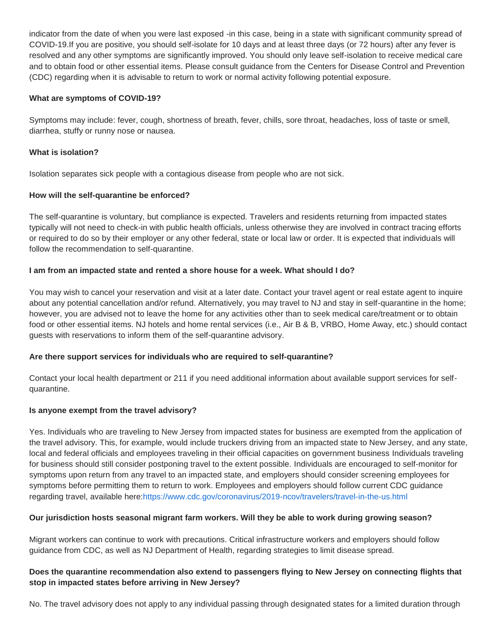indicator from the date of when you were last exposed -in this case, being in a state with significant community spread of COVID-19.If you are positive, you should self-isolate for 10 days and at least three days (or 72 hours) after any fever is resolved and any other symptoms are significantly improved. You should only leave self-isolation to receive medical care and to obtain food or other essential items. Please consult guidance from the Centers for Disease Control and Prevention (CDC) regarding when it is advisable to return to work or normal activity following potential exposure.

## **What are symptoms of COVID-19?**

Symptoms may include: fever, cough, shortness of breath, fever, chills, sore throat, headaches, loss of taste or smell, diarrhea, stuffy or runny nose or nausea.

## **What is isolation?**

Isolation separates sick people with a contagious disease from people who are not sick.

#### **How will the self-quarantine be enforced?**

The self-quarantine is voluntary, but compliance is expected. Travelers and residents returning from impacted states typically will not need to check-in with public health officials, unless otherwise they are involved in contract tracing efforts or required to do so by their employer or any other federal, state or local law or order. It is expected that individuals will follow the recommendation to self-quarantine.

# **I am from an impacted state and rented a shore house for a week. What should I do?**

You may wish to cancel your reservation and visit at a later date. Contact your travel agent or real estate agent to inquire about any potential cancellation and/or refund. Alternatively, you may travel to NJ and stay in self-quarantine in the home; however, you are advised not to leave the home for any activities other than to seek medical care/treatment or to obtain food or other essential items. NJ hotels and home rental services (i.e., Air B & B, VRBO, Home Away, etc.) should contact guests with reservations to inform them of the self-quarantine advisory.

# **Are there support services for individuals who are required to self-quarantine?**

Contact your local health department or 211 if you need additional information about available support services for selfquarantine.

#### **Is anyone exempt from the travel advisory?**

Yes. Individuals who are traveling to New Jersey from impacted states for business are exempted from the application of the travel advisory. This, for example, would include truckers driving from an impacted state to New Jersey, and any state, local and federal officials and employees traveling in their official capacities on government business Individuals traveling for business should still consider postponing travel to the extent possible. Individuals are encouraged to self-monitor for symptoms upon return from any travel to an impacted state, and employers should consider screening employees for symptoms before permitting them to return to work. Employees and employers should follow current CDC guidance regarding travel, available here[:https://www.cdc.gov/coronavirus/2019-ncov/travelers/travel-in-the-us.html](https://www.cdc.gov/coronavirus/2019-ncov/travelers/travel-in-the-us.html)

# **Our jurisdiction hosts seasonal migrant farm workers. Will they be able to work during growing season?**

Migrant workers can continue to work with precautions. Critical infrastructure workers and employers should follow guidance from CDC, as well as NJ Department of Health, regarding strategies to limit disease spread.

# **Does the quarantine recommendation also extend to passengers flying to New Jersey on connecting flights that stop in impacted states before arriving in New Jersey?**

No. The travel advisory does not apply to any individual passing through designated states for a limited duration through